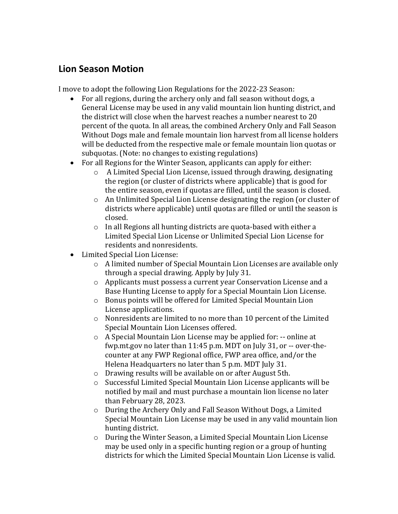## **Lion Season Motion**

I move to adopt the following Lion Regulations for the 2022-23 Season:

- For all regions, during the archery only and fall season without dogs, a General License may be used in any valid mountain lion hunting district, and the district will close when the harvest reaches a number nearest to 20 percent of the quota. In all areas, the combined Archery Only and Fall Season Without Dogs male and female mountain lion harvest from all license holders will be deducted from the respective male or female mountain lion quotas or subquotas. (Note: no changes to existing regulations)
- For all Regions for the Winter Season, applicants can apply for either:
	- o A Limited Special Lion License, issued through drawing, designating the region (or cluster of districts where applicable) that is good for the entire season, even if quotas are filled, until the season is closed.
	- o An Unlimited Special Lion License designating the region (or cluster of districts where applicable) until quotas are filled or until the season is closed.
	- o In all Regions all hunting districts are quota-based with either a Limited Special Lion License or Unlimited Special Lion License for residents and nonresidents.
- Limited Special Lion License:
	- o A limited number of Special Mountain Lion Licenses are available only through a special drawing. Apply by July 31.
	- o Applicants must possess a current year Conservation License and a Base Hunting License to apply for a Special Mountain Lion License.
	- o Bonus points will be offered for Limited Special Mountain Lion License applications.
	- o Nonresidents are limited to no more than 10 percent of the Limited Special Mountain Lion Licenses offered.
	- o A Special Mountain Lion License may be applied for: -- online at fwp.mt.gov no later than 11:45 p.m. MDT on July 31, or -- over-thecounter at any FWP Regional office, FWP area office, and/or the Helena Headquarters no later than 5 p.m. MDT July 31.
	- o Drawing results will be available on or after August 5th.
	- o Successful Limited Special Mountain Lion License applicants will be notified by mail and must purchase a mountain lion license no later than February 28, 2023.
	- o During the Archery Only and Fall Season Without Dogs, a Limited Special Mountain Lion License may be used in any valid mountain lion hunting district.
	- o During the Winter Season, a Limited Special Mountain Lion License may be used only in a specific hunting region or a group of hunting districts for which the Limited Special Mountain Lion License is valid.